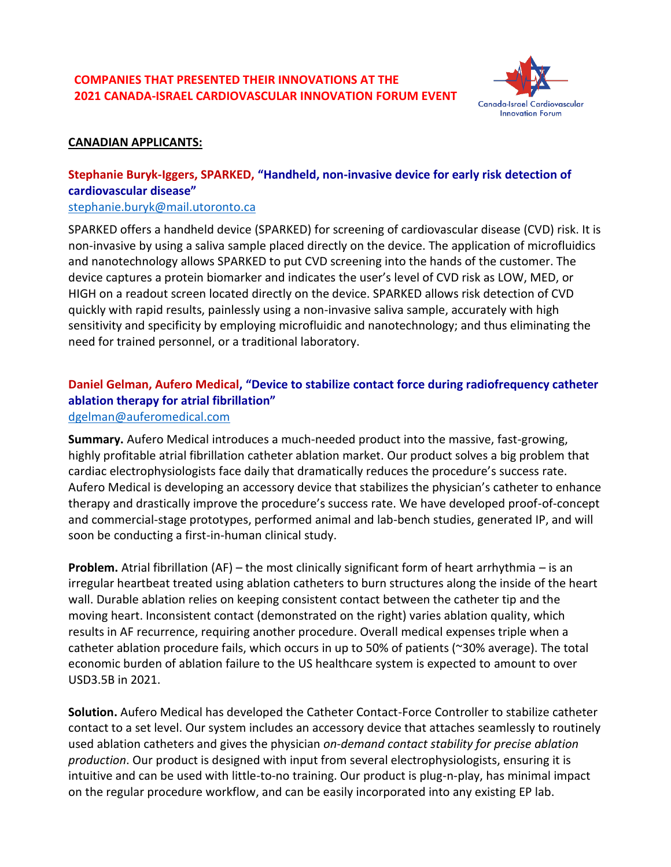# **COMPANIES THAT PRESENTED THEIR INNOVATIONS AT THE 2021 CANADA-ISRAEL CARDIOVASCULAR INNOVATION FORUM EVENT**



#### **CANADIAN APPLICANTS:**

# **Stephanie Buryk-Iggers, SPARKED, "Handheld, non-invasive device for early risk detection of cardiovascular disease"**

#### [stephanie.buryk@mail.utoronto.ca](mailto:stephanie.buryk@mail.utoronto.ca)

SPARKED offers a handheld device (SPARKED) for screening of cardiovascular disease (CVD) risk. It is non-invasive by using a saliva sample placed directly on the device. The application of microfluidics and nanotechnology allows SPARKED to put CVD screening into the hands of the customer. The device captures a protein biomarker and indicates the user's level of CVD risk as LOW, MED, or HIGH on a readout screen located directly on the device. SPARKED allows risk detection of CVD quickly with rapid results, painlessly using a non-invasive saliva sample, accurately with high sensitivity and specificity by employing microfluidic and nanotechnology; and thus eliminating the need for trained personnel, or a traditional laboratory.

# **Daniel Gelman, Aufero Medical, "Device to stabilize contact force during radiofrequency catheter ablation therapy for atrial fibrillation"**

#### [dgelman@auferomedical.com](mailto:dgelman@auferomedical.com)

**Summary.** Aufero Medical introduces a much-needed product into the massive, fast-growing, highly profitable atrial fibrillation catheter ablation market. Our product solves a big problem that cardiac electrophysiologists face daily that dramatically reduces the procedure's success rate. Aufero Medical is developing an accessory device that stabilizes the physician's catheter to enhance therapy and drastically improve the procedure's success rate. We have developed proof-of-concept and commercial-stage prototypes, performed animal and lab-bench studies, generated IP, and will soon be conducting a first-in-human clinical study.

**Problem.** Atrial fibrillation (AF) – the most clinically significant form of heart arrhythmia – is an irregular heartbeat treated using ablation catheters to burn structures along the inside of the heart wall. Durable ablation relies on keeping consistent contact between the catheter tip and the moving heart. Inconsistent contact (demonstrated on the right) varies ablation quality, which results in AF recurrence, requiring another procedure. Overall medical expenses triple when a catheter ablation procedure fails, which occurs in up to 50% of patients (~30% average). The total economic burden of ablation failure to the US healthcare system is expected to amount to over USD3.5B in 2021.

**Solution.** Aufero Medical has developed the Catheter Contact-Force Controller to stabilize catheter contact to a set level. Our system includes an accessory device that attaches seamlessly to routinely used ablation catheters and gives the physician *on-demand contact stability for precise ablation production*. Our product is designed with input from several electrophysiologists, ensuring it is intuitive and can be used with little-to-no training. Our product is plug-n-play, has minimal impact on the regular procedure workflow, and can be easily incorporated into any existing EP lab.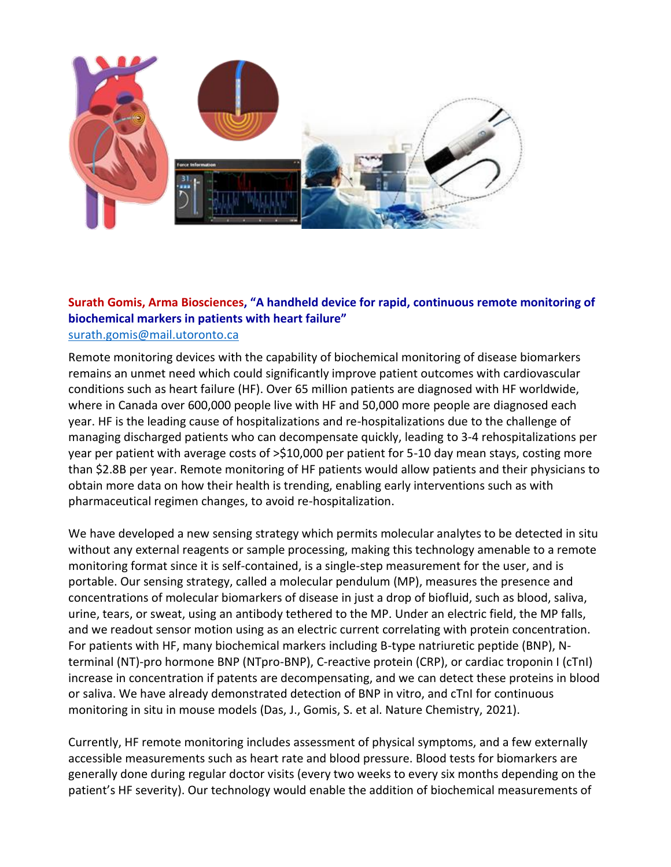

#### **Surath Gomis, Arma Biosciences, "A handheld device for rapid, continuous remote monitoring of biochemical markers in patients with heart failure"** [surath.gomis@mail.utoronto.ca](mailto:surath.gomis@mail.utoronto.ca)

Remote monitoring devices with the capability of biochemical monitoring of disease biomarkers remains an unmet need which could significantly improve patient outcomes with cardiovascular conditions such as heart failure (HF). Over 65 million patients are diagnosed with HF worldwide, where in Canada over 600,000 people live with HF and 50,000 more people are diagnosed each year. HF is the leading cause of hospitalizations and re-hospitalizations due to the challenge of managing discharged patients who can decompensate quickly, leading to 3-4 rehospitalizations per year per patient with average costs of >\$10,000 per patient for 5-10 day mean stays, costing more than \$2.8B per year. Remote monitoring of HF patients would allow patients and their physicians to obtain more data on how their health is trending, enabling early interventions such as with pharmaceutical regimen changes, to avoid re-hospitalization.

We have developed a new sensing strategy which permits molecular analytes to be detected in situ without any external reagents or sample processing, making this technology amenable to a remote monitoring format since it is self-contained, is a single-step measurement for the user, and is portable. Our sensing strategy, called a molecular pendulum (MP), measures the presence and concentrations of molecular biomarkers of disease in just a drop of biofluid, such as blood, saliva, urine, tears, or sweat, using an antibody tethered to the MP. Under an electric field, the MP falls, and we readout sensor motion using as an electric current correlating with protein concentration. For patients with HF, many biochemical markers including B-type natriuretic peptide (BNP), Nterminal (NT)-pro hormone BNP (NTpro-BNP), C-reactive protein (CRP), or cardiac troponin I (cTnI) increase in concentration if patents are decompensating, and we can detect these proteins in blood or saliva. We have already demonstrated detection of BNP in vitro, and cTnI for continuous monitoring in situ in mouse models (Das, J., Gomis, S. et al. Nature Chemistry, 2021).

Currently, HF remote monitoring includes assessment of physical symptoms, and a few externally accessible measurements such as heart rate and blood pressure. Blood tests for biomarkers are generally done during regular doctor visits (every two weeks to every six months depending on the patient's HF severity). Our technology would enable the addition of biochemical measurements of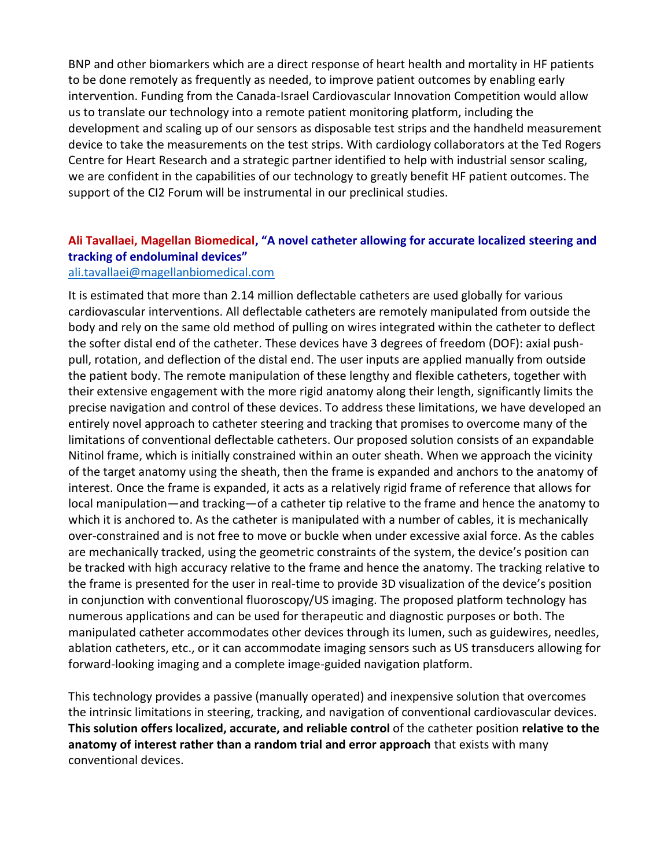BNP and other biomarkers which are a direct response of heart health and mortality in HF patients to be done remotely as frequently as needed, to improve patient outcomes by enabling early intervention. Funding from the Canada-Israel Cardiovascular Innovation Competition would allow us to translate our technology into a remote patient monitoring platform, including the development and scaling up of our sensors as disposable test strips and the handheld measurement device to take the measurements on the test strips. With cardiology collaborators at the Ted Rogers Centre for Heart Research and a strategic partner identified to help with industrial sensor scaling, we are confident in the capabilities of our technology to greatly benefit HF patient outcomes. The support of the CI2 Forum will be instrumental in our preclinical studies.

# **Ali Tavallaei, Magellan Biomedical, "A novel catheter allowing for accurate localized steering and tracking of endoluminal devices"**

#### [ali.tavallaei@magellanbiomedical.com](mailto:ali.tavallaei@magellanbiomedical.com)

It is estimated that more than 2.14 million deflectable catheters are used globally for various cardiovascular interventions. All deflectable catheters are remotely manipulated from outside the body and rely on the same old method of pulling on wires integrated within the catheter to deflect the softer distal end of the catheter. These devices have 3 degrees of freedom (DOF): axial pushpull, rotation, and deflection of the distal end. The user inputs are applied manually from outside the patient body. The remote manipulation of these lengthy and flexible catheters, together with their extensive engagement with the more rigid anatomy along their length, significantly limits the precise navigation and control of these devices. To address these limitations, we have developed an entirely novel approach to catheter steering and tracking that promises to overcome many of the limitations of conventional deflectable catheters. Our proposed solution consists of an expandable Nitinol frame, which is initially constrained within an outer sheath. When we approach the vicinity of the target anatomy using the sheath, then the frame is expanded and anchors to the anatomy of interest. Once the frame is expanded, it acts as a relatively rigid frame of reference that allows for local manipulation—and tracking—of a catheter tip relative to the frame and hence the anatomy to which it is anchored to. As the catheter is manipulated with a number of cables, it is mechanically over-constrained and is not free to move or buckle when under excessive axial force. As the cables are mechanically tracked, using the geometric constraints of the system, the device's position can be tracked with high accuracy relative to the frame and hence the anatomy. The tracking relative to the frame is presented for the user in real-time to provide 3D visualization of the device's position in conjunction with conventional fluoroscopy/US imaging. The proposed platform technology has numerous applications and can be used for therapeutic and diagnostic purposes or both. The manipulated catheter accommodates other devices through its lumen, such as guidewires, needles, ablation catheters, etc., or it can accommodate imaging sensors such as US transducers allowing for forward-looking imaging and a complete image-guided navigation platform.

This technology provides a passive (manually operated) and inexpensive solution that overcomes the intrinsic limitations in steering, tracking, and navigation of conventional cardiovascular devices. **This solution offers localized, accurate, and reliable control** of the catheter position **relative to the anatomy of interest rather than a random trial and error approach** that exists with many conventional devices.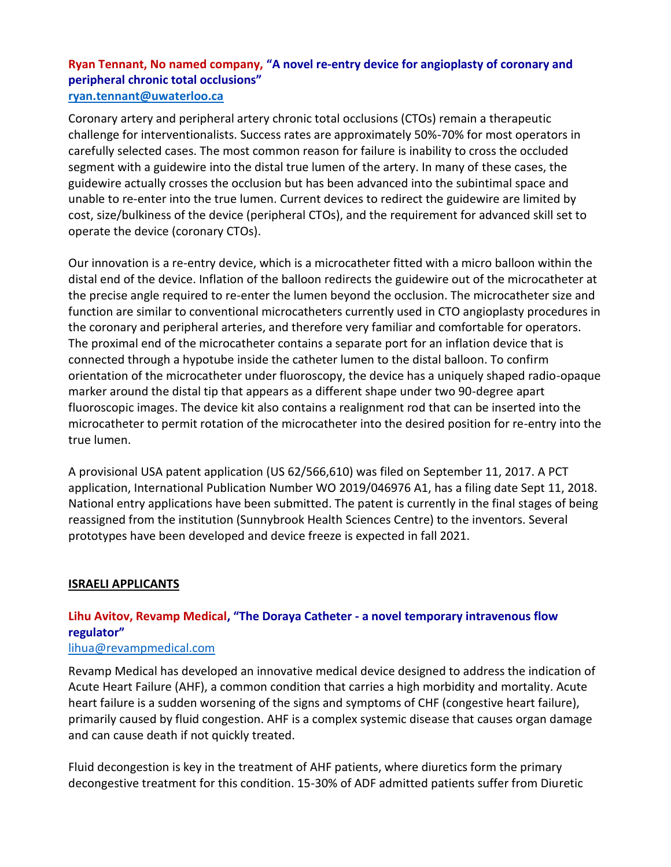### **Ryan Tennant, No named company, "A novel re-entry device for angioplasty of coronary and peripheral chronic total occlusions" [ryan.tennant@uwaterloo.ca](mailto:ryan.tennant@uwaterloo.ca)**

Coronary artery and peripheral artery chronic total occlusions (CTOs) remain a therapeutic challenge for interventionalists. Success rates are approximately 50%-70% for most operators in carefully selected cases. The most common reason for failure is inability to cross the occluded segment with a guidewire into the distal true lumen of the artery. In many of these cases, the guidewire actually crosses the occlusion but has been advanced into the subintimal space and unable to re-enter into the true lumen. Current devices to redirect the guidewire are limited by cost, size/bulkiness of the device (peripheral CTOs), and the requirement for advanced skill set to operate the device (coronary CTOs).

Our innovation is a re-entry device, which is a microcatheter fitted with a micro balloon within the distal end of the device. Inflation of the balloon redirects the guidewire out of the microcatheter at the precise angle required to re-enter the lumen beyond the occlusion. The microcatheter size and function are similar to conventional microcatheters currently used in CTO angioplasty procedures in the coronary and peripheral arteries, and therefore very familiar and comfortable for operators. The proximal end of the microcatheter contains a separate port for an inflation device that is connected through a hypotube inside the catheter lumen to the distal balloon. To confirm orientation of the microcatheter under fluoroscopy, the device has a uniquely shaped radio-opaque marker around the distal tip that appears as a different shape under two 90-degree apart fluoroscopic images. The device kit also contains a realignment rod that can be inserted into the microcatheter to permit rotation of the microcatheter into the desired position for re-entry into the true lumen.

A provisional USA patent application (US 62/566,610) was filed on September 11, 2017. A PCT application, International Publication Number WO 2019/046976 A1, has a filing date Sept 11, 2018. National entry applications have been submitted. The patent is currently in the final stages of being reassigned from the institution (Sunnybrook Health Sciences Centre) to the inventors. Several prototypes have been developed and device freeze is expected in fall 2021.

### **ISRAELI APPLICANTS**

# **Lihu Avitov, Revamp Medical, "The Doraya Catheter - a novel temporary intravenous flow regulator"**

#### [lihua@revampmedical.com](mailto:lihua@revampmedical.com)

Revamp Medical has developed an innovative medical device designed to address the indication of Acute Heart Failure (AHF), a common condition that carries a high morbidity and mortality. Acute heart failure is a sudden worsening of the signs and symptoms of CHF (congestive heart failure), primarily caused by fluid congestion. AHF is a complex systemic disease that causes organ damage and can cause death if not quickly treated.

Fluid decongestion is key in the treatment of AHF patients, where diuretics form the primary decongestive treatment for this condition. 15-30% of ADF admitted patients suffer from Diuretic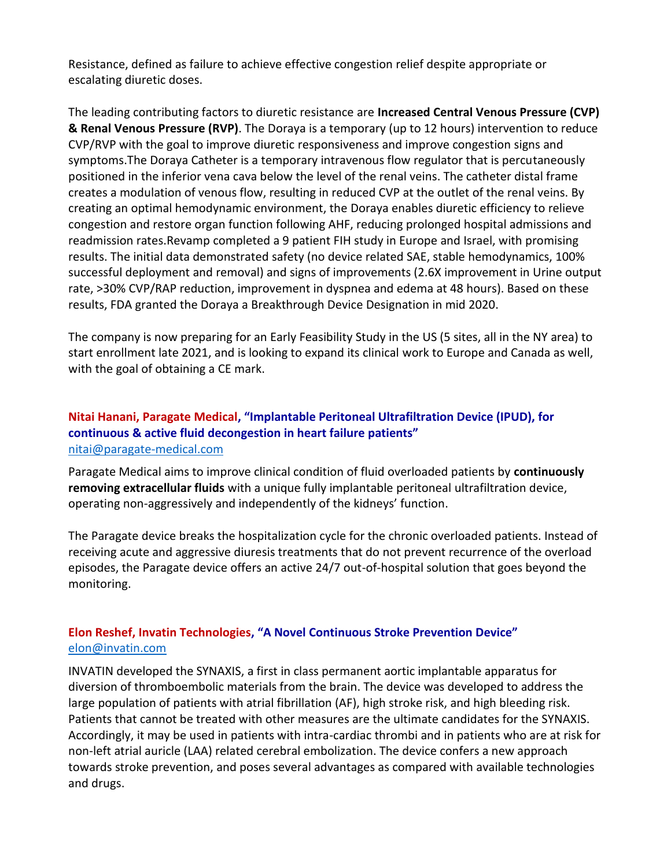Resistance, defined as failure to achieve effective congestion relief despite appropriate or escalating diuretic doses.

The leading contributing factors to diuretic resistance are **Increased Central Venous Pressure (CVP) & Renal Venous Pressure (RVP)**. The Doraya is a temporary (up to 12 hours) intervention to reduce CVP/RVP with the goal to improve diuretic responsiveness and improve congestion signs and symptoms.The Doraya Catheter is a temporary intravenous flow regulator that is percutaneously positioned in the inferior vena cava below the level of the renal veins. The catheter distal frame creates a modulation of venous flow, resulting in reduced CVP at the outlet of the renal veins. By creating an optimal hemodynamic environment, the Doraya enables diuretic efficiency to relieve congestion and restore organ function following AHF, reducing prolonged hospital admissions and readmission rates.Revamp completed a 9 patient FIH study in Europe and Israel, with promising results. The initial data demonstrated safety (no device related SAE, stable hemodynamics, 100% successful deployment and removal) and signs of improvements (2.6X improvement in Urine output rate, >30% CVP/RAP reduction, improvement in dyspnea and edema at 48 hours). Based on these results, FDA granted the Doraya a Breakthrough Device Designation in mid 2020.

The company is now preparing for an Early Feasibility Study in the US (5 sites, all in the NY area) to start enrollment late 2021, and is looking to expand its clinical work to Europe and Canada as well, with the goal of obtaining a CE mark.

### **Nitai Hanani, Paragate Medical, "Implantable Peritoneal Ultrafiltration Device (IPUD), for continuous & active fluid decongestion in heart failure patients"** [nitai@paragate-medical.com](mailto:nitai@paragate-medical.com)

Paragate Medical aims to improve clinical condition of fluid overloaded patients by **continuously removing extracellular fluids** with a unique fully implantable peritoneal ultrafiltration device, operating non-aggressively and independently of the kidneys' function.

The Paragate device breaks the hospitalization cycle for the chronic overloaded patients. Instead of receiving acute and aggressive diuresis treatments that do not prevent recurrence of the overload episodes, the Paragate device offers an active 24/7 out-of-hospital solution that goes beyond the monitoring.

# **Elon Reshef, Invatin Technologies, "A Novel Continuous Stroke Prevention Device"** [elon@invatin.com](mailto:elon@invatin.com)

INVATIN developed the SYNAXIS, a first in class permanent aortic implantable apparatus for diversion of thromboembolic materials from the brain. The device was developed to address the large population of patients with atrial fibrillation (AF), high stroke risk, and high bleeding risk. Patients that cannot be treated with other measures are the ultimate candidates for the SYNAXIS. Accordingly, it may be used in patients with intra-cardiac thrombi and in patients who are at risk for non-left atrial auricle (LAA) related cerebral embolization. The device confers a new approach towards stroke prevention, and poses several advantages as compared with available technologies and drugs.